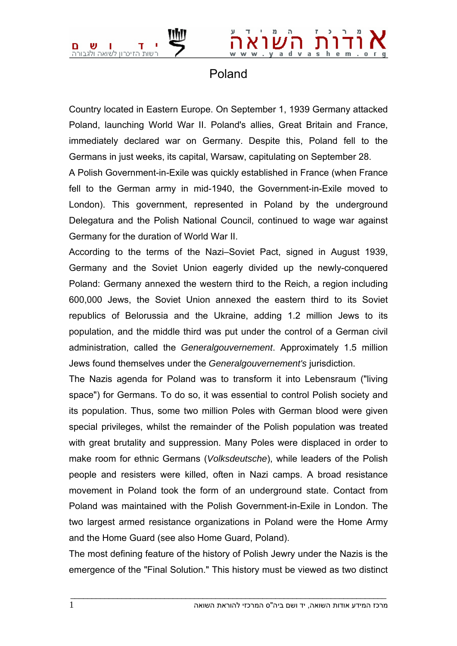

## Poland

Country located in Eastern Europe. On September 1, 1939 Germany attacked Poland, launching World War II. Poland's allies, Great Britain and France, immediately declared war on Germany. Despite this, Poland fell to the Germans in just weeks, its capital, Warsaw, capitulating on September 28.

A Polish Government-in-Exile was quickly established in France (when France fell to the German army in mid-1940, the Government-in-Exile moved to London). This government, represented in Poland by the underground Delegatura and the Polish National Council, continued to wage war against Germany for the duration of World War II.

According to the terms of the Nazi–Soviet Pact, signed in August 1939, Germany and the Soviet Union eagerly divided up the newly-conquered Poland: Germany annexed the western third to the Reich, a region including 600,000 Jews, the Soviet Union annexed the eastern third to its Soviet republics of Belorussia and the Ukraine, adding 1.2 million Jews to its population, and the middle third was put under the control of a German civil administration, called the *Generalgouvernement*. Approximately 1.5 million Jews found themselves under the *Generalgouvernement's* jurisdiction.

The Nazis agenda for Poland was to transform it into Lebensraum ("living space") for Germans. To do so, it was essential to control Polish society and its population. Thus, some two million Poles with German blood were given special privileges, whilst the remainder of the Polish population was treated with great brutality and suppression. Many Poles were displaced in order to make room for ethnic Germans (*Volksdeutsche*), while leaders of the Polish people and resisters were killed, often in Nazi camps. A broad resistance movement in Poland took the form of an underground state. Contact from Poland was maintained with the Polish Government-in-Exile in London. The two largest armed resistance organizations in Poland were the Home Army and the Home Guard (see also Home Guard, Poland).

The most defining feature of the history of Polish Jewry under the Nazis is the emergence of the "Final Solution." This history must be viewed as two distinct

 $\bot$  , and the set of the set of the set of the set of the set of the set of the set of the set of the set of the set of the set of the set of the set of the set of the set of the set of the set of the set of the set of t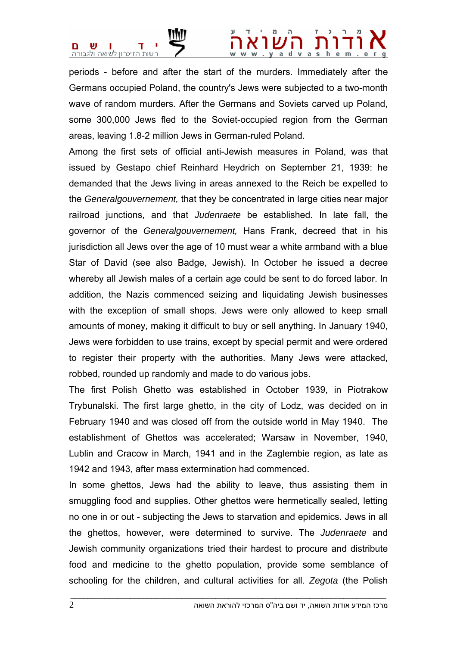

## . ya dvashem

periods - before and after the start of the murders. Immediately after the Germans occupied Poland, the country's Jews were subjected to a two-month wave of random murders. After the Germans and Soviets carved up Poland, some 300,000 Jews fled to the Soviet-occupied region from the German areas, leaving 1.8-2 million Jews in German-ruled Poland.

Among the first sets of official anti-Jewish measures in Poland, was that issued by Gestapo chief Reinhard Heydrich on September 21, 1939: he demanded that the Jews living in areas annexed to the Reich be expelled to the *Generalgouvernement,* that they be concentrated in large cities near major railroad junctions, and that *Judenraete* be established. In late fall, the governor of the *Generalgouvernement,* Hans Frank, decreed that in his jurisdiction all Jews over the age of 10 must wear a white armband with a blue Star of David (see also Badge, Jewish). In October he issued a decree whereby all Jewish males of a certain age could be sent to do forced labor. In addition, the Nazis commenced seizing and liquidating Jewish businesses with the exception of small shops. Jews were only allowed to keep small amounts of money, making it difficult to buy or sell anything. In January 1940, Jews were forbidden to use trains, except by special permit and were ordered to register their property with the authorities. Many Jews were attacked, robbed, rounded up randomly and made to do various jobs.

The first Polish Ghetto was established in October 1939, in Piotrakow Trybunalski. The first large ghetto, in the city of Lodz, was decided on in February 1940 and was closed off from the outside world in May 1940. The establishment of Ghettos was accelerated; Warsaw in November, 1940, Lublin and Cracow in March, 1941 and in the Zaglembie region, as late as 1942 and 1943, after mass extermination had commenced.

In some ghettos, Jews had the ability to leave, thus assisting them in smuggling food and supplies. Other ghettos were hermetically sealed, letting no one in or out - subjecting the Jews to starvation and epidemics. Jews in all the ghettos, however, were determined to survive. The *Judenraete* and Jewish community organizations tried their hardest to procure and distribute food and medicine to the ghetto population, provide some semblance of schooling for the children, and cultural activities for all. *Zegota* (the Polish

 $\bot$  , and the set of the set of the set of the set of the set of the set of the set of the set of the set of the set of the set of the set of the set of the set of the set of the set of the set of the set of the set of t